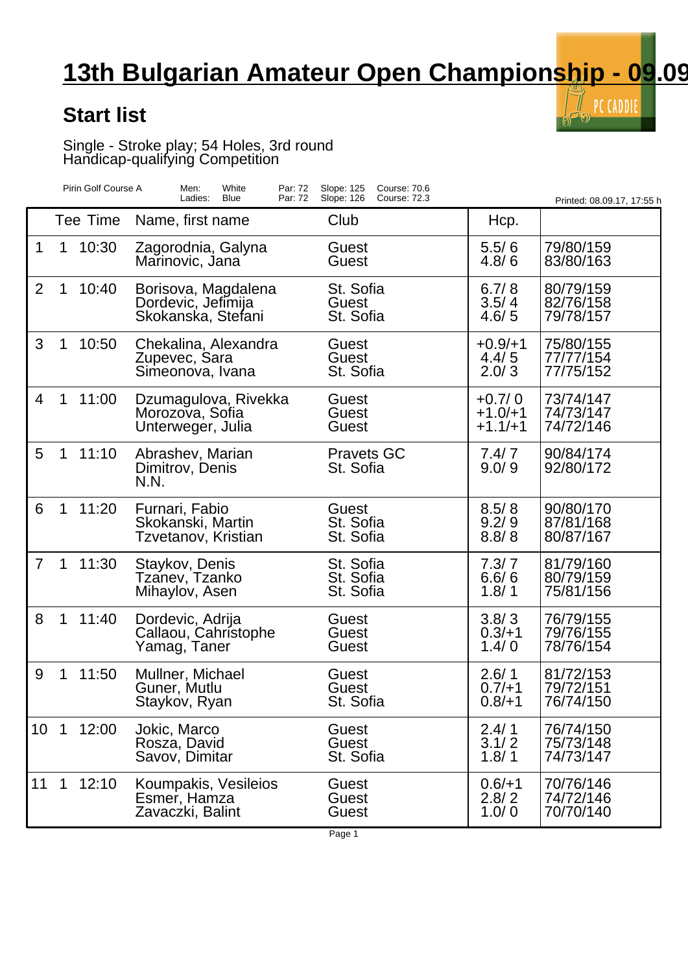## **13th Bulgarian Amateur Open Championship - 09.09**

 $\tilde{\mathbb{I}}_{\infty}$  PC CADDIE

## **Start list**

Single - Stroke play; 54 Holes, 3rd round Handicap-qualifying Competition

|                | Pirin Golf Course A |          | Men:<br>White<br>Par: 72<br>Ladies:<br>Blue<br>Par: 72          | Slope: 125<br>Course: 70.6<br>Slope: 126<br><b>Course: 72.3</b> |                                    | Printed: 08.09.17, 17:55 h          |
|----------------|---------------------|----------|-----------------------------------------------------------------|-----------------------------------------------------------------|------------------------------------|-------------------------------------|
|                |                     | Tee Time | Name, first name                                                | Club                                                            | Hcp.                               |                                     |
| 1              | 1                   | 10:30    | Zagorodnia, Galyna<br>Marinovic, Jana                           | Guest<br>Guest                                                  | 5.5/6<br>4.8/6                     | 79/80/159<br>83/80/163              |
| $\overline{2}$ | 1                   | 10:40    | Borisova, Magdalena<br>Dordevic, Jefimija<br>Skokanska, Stefani | St. Sofia<br>Guest<br>St. Sofia                                 | 6.7/8<br>3.5/4<br>4.6/5            | 80/79/159<br>82/76/158<br>79/78/157 |
| 3              | 1                   | 10:50    | Chekalina, Alexandra<br>Zupevec, Sara<br>Simeonova, Ivana       | Guest<br>Guest<br>St. Sofia                                     | $+0.9/+1$<br>4.4/5<br>2.0/3        | 75/80/155<br>77/77/154<br>77/75/152 |
| 4              | 1                   | 11:00    | Dzumagulova, Rivekka<br>Morozova, Sofia<br>Unterweger, Julia    | Guest<br>Guest<br>Guest                                         | $+0.7/0$<br>$+1.0/+1$<br>$+1.1/+1$ | 73/74/147<br>74/73/147<br>74/72/146 |
| 5              | $\mathbf 1$         | 11:10    | Abrashev, Marian<br>Dimitrov, Denis<br>N.N.                     | <b>Pravets GC</b><br>St. Sofia                                  | 7.4/7<br>9.0/9                     | 90/84/174<br>92/80/172              |
| 6              | $\mathbf 1$         | 11:20    | Furnari, Fabio<br>Skokanski, Martin<br>Tzvetanov, Kristian      | <b>Guest</b><br>St. Sofia<br>St. Sofia                          | 8.5/8<br>9.2/9<br>8.8/8            | 90/80/170<br>87/81/168<br>80/87/167 |
| $\overline{7}$ | $\mathbf 1$         | 11:30    | Staykov, Denis<br>Tzanev, Tzanko<br>Mihaylov, Asen              | St. Sofia<br>St. Sofia<br>St. Sofia                             | 7.3/7<br>6.6/6<br>1.8/1            | 81/79/160<br>80/79/159<br>75/81/156 |
| 8              | $\mathbf 1$         | 11:40    | Dordevic, Adrija<br>Callaou, Cahristophe<br>Yamag, Taner        | Guest<br>Guest<br>Guest                                         | 3.8/3<br>$0.3/+1$<br>1.4/0         | 76/79/155<br>79/76/155<br>78/76/154 |
| 9              | 1                   | 11:50    | Mullner, Michael<br>Guner, Mutlu<br>Staykov, Ryan               | Guest<br>Guest<br>St. Sofia                                     | 2.6/1<br>$0.7/+1$<br>$0.8/+1$      | 81/72/153<br>79/72/151<br>76/74/150 |
| 10             | $\mathbf 1$         | 12:00    | Jokic, Marco<br>Rosza, David<br>Savov, Dimitar                  | Guest<br>Guest<br>St. Sofia                                     | 2.4/1<br>3.1/2<br>1.8/1            | 76/74/150<br>75/73/148<br>74/73/147 |
| 11             | $\mathbf{1}$        | 12:10    | Koumpakis, Vesileios<br>Esmer, Hamza<br>Zavaczki, Balint        | Guest<br>Guest<br>Guest                                         | $0.6/+1$<br>2.8/2<br>1.0/0         | 70/76/146<br>74/72/146<br>70/70/140 |